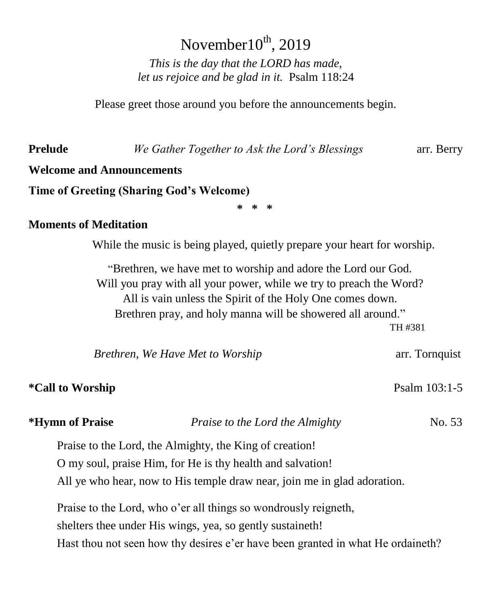# November $10^{th}$ , 2019

*This is the day that the LORD has made, let us rejoice and be glad in it.* Psalm 118:24

Please greet those around you before the announcements begin.

**Prelude** *We Gather Together to Ask the Lord's Blessings* arr. Berry

### **Welcome and Announcements**

**Time of Greeting (Sharing God's Welcome)**

**\* \* \***

#### **Moments of Meditation**

While the music is being played, quietly prepare your heart for worship.

"Brethren, we have met to worship and adore the Lord our God. Will you pray with all your power, while we try to preach the Word? All is vain unless the Spirit of the Holy One comes down. Brethren pray, and holy manna will be showered all around." TH #381

| Brethren, We Have Met to Worship | arr. Tornquist |
|----------------------------------|----------------|
|                                  |                |

#### \*Call to Worship **Psalm 103:1-5**

| <i><b>*Hymn of Praise</b></i> | Praise to the Lord the Almighty                                                 |  |  |
|-------------------------------|---------------------------------------------------------------------------------|--|--|
|                               | Praise to the Lord, the Almighty, the King of creation!                         |  |  |
|                               | O my soul, praise Him, for He is thy health and salvation!                      |  |  |
|                               | All ye who hear, now to His temple draw near, join me in glad adoration.        |  |  |
|                               | Praise to the Lord, who o'er all things so wondrously reigneth,                 |  |  |
|                               | shelters thee under His wings, yea, so gently sustaineth!                       |  |  |
|                               | Hast thou not seen how thy desires e'er have been granted in what He ordaineth? |  |  |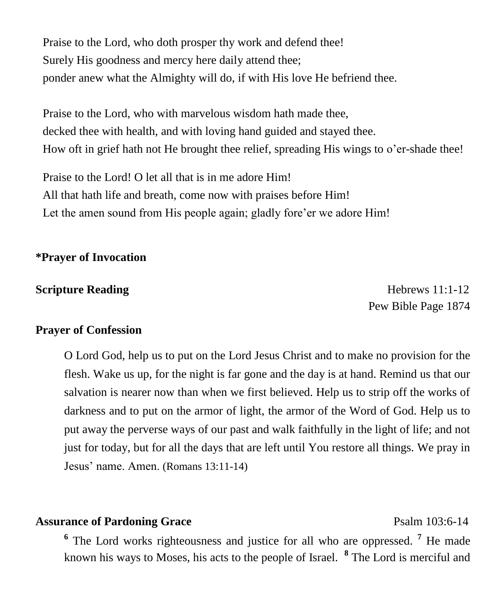Praise to the Lord, who doth prosper thy work and defend thee! Surely His goodness and mercy here daily attend thee; ponder anew what the Almighty will do, if with His love He befriend thee.

Praise to the Lord, who with marvelous wisdom hath made thee, decked thee with health, and with loving hand guided and stayed thee. How oft in grief hath not He brought thee relief, spreading His wings to o'er-shade thee!

Praise to the Lord! O let all that is in me adore Him! All that hath life and breath, come now with praises before Him! Let the amen sound from His people again; gladly fore'er we adore Him!

#### **\*Prayer of Invocation**

#### **Scripture Reading** Hebrews 11:1-12

Pew Bible Page 1874

#### **Prayer of Confession**

O Lord God, help us to put on the Lord Jesus Christ and to make no provision for the flesh. Wake us up, for the night is far gone and the day is at hand. Remind us that our salvation is nearer now than when we first believed. Help us to strip off the works of darkness and to put on the armor of light, the armor of the Word of God. Help us to put away the perverse ways of our past and walk faithfully in the light of life; and not just for today, but for all the days that are left until You restore all things. We pray in Jesus' name. Amen. (Romans 13:11-14)

#### **Assurance of Pardoning Grace** Psalm 103:6-14

**6** The Lord works righteousness and justice for all who are oppressed. **<sup>7</sup>** He made known his ways to Moses, his acts to the people of Israel. **<sup>8</sup>** The Lord is merciful and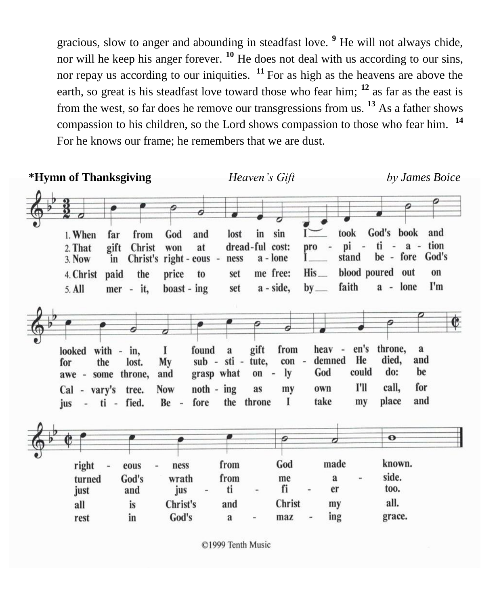gracious, slow to anger and abounding in steadfast love. **<sup>9</sup>** He will not always chide, nor will he keep his anger forever. **<sup>10</sup>** He does not deal with us according to our sins, nor repay us according to our iniquities.  $11$  For as high as the heavens are above the earth, so great is his steadfast love toward those who fear him; **<sup>12</sup>** as far as the east is from the west, so far does he remove our transgressions from us. **<sup>13</sup>** As a father shows compassion to his children, so the Lord shows compassion to those who fear him. **<sup>14</sup>** For he knows our frame; he remembers that we are dust.

| *Hymn of Thanksgiving                                                                                                                 |                                                                                                               | Heaven's Gift                                                        |                                                                             |                                                                             | by James Boice                                                                                          |
|---------------------------------------------------------------------------------------------------------------------------------------|---------------------------------------------------------------------------------------------------------------|----------------------------------------------------------------------|-----------------------------------------------------------------------------|-----------------------------------------------------------------------------|---------------------------------------------------------------------------------------------------------|
| 1. When<br>from<br>far<br>gift<br>Christ<br>2. That<br>Christ's<br>3. Now<br>in<br>4. Christ<br>paid<br>the<br>5. All<br>$mer - it$ , | 0<br>God<br>and<br>at<br>won<br>right - $eous -$<br>price<br>to<br>$\text{boost}$ - ing                       | lost<br>in<br>dread-ful cost:<br>ness<br>set<br>set                  | sin<br>pro<br>a - lone<br>His<br>me free:<br>a - side,<br>$by$ <sub>—</sub> | took<br>pi<br>stand<br>faith                                                | God's book<br>and<br>$ti - a -$<br>tion<br>be - fore God's<br>blood poured out<br>on<br>I'm<br>a - lone |
| $with -$<br>looked<br>in,<br>the<br>lost.<br>for<br>throne,<br>some<br>$awe -$<br>Cal - vary's tree.<br>fied.<br>ti -<br>jus<br>×,    | found<br>1<br>My<br>grasp what<br>and<br>$noth - ing$<br><b>Now</b><br>fore<br>Be<br>$\overline{\phantom{a}}$ | gift<br>a<br>$sub - sti -$<br>tute,<br>$on -$<br>as<br>the<br>throne | from<br>con<br>$\sim$<br>ly<br>my<br>1                                      | en's<br>heav -<br>He<br>demned<br>God<br>could<br>I'll<br>own<br>take<br>my | E<br>throne,<br>a<br>died,<br>and<br>do:<br>be<br>for<br>call,<br>and<br>place                          |
| right<br>eous<br>God's<br>turned<br>just<br>and<br>all<br>is<br>in<br>rest                                                            | ness<br>wrath<br>jus<br>Christ's<br>God's                                                                     | from<br>from<br>ti<br>and<br>$\mathbf{a}$                            | O<br>God<br>me<br>fi<br>Christ<br>maz                                       | made<br>a<br>er<br>my<br>ing                                                | $\bullet$<br>known.<br>side.<br>too.<br>all.<br>grace.                                                  |

©1999 Tenth Music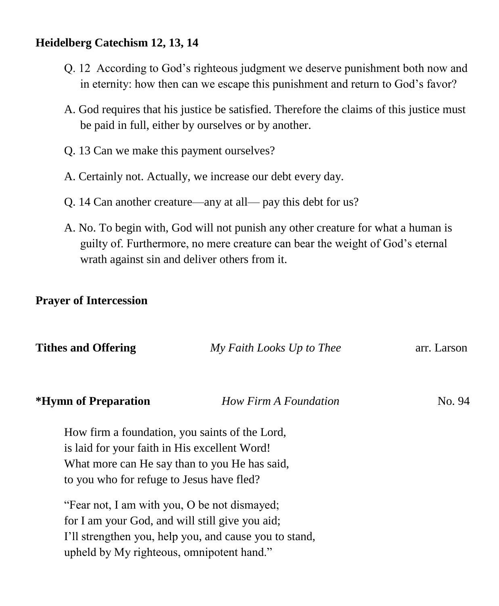### **Heidelberg Catechism 12, 13, 14**

- Q. 12 According to God's righteous judgment we deserve punishment both now and in eternity: how then can we escape this punishment and return to God's favor?
- A. God requires that his justice be satisfied. Therefore the claims of this justice must be paid in full, either by ourselves or by another.
- Q. 13 Can we make this payment ourselves?
- A. Certainly not. Actually, we increase our debt every day.
- Q. 14 Can another creature—any at all— pay this debt for us?
- A. No. To begin with, God will not punish any other creature for what a human is guilty of. Furthermore, no mere creature can bear the weight of God's eternal wrath against sin and deliver others from it.

# **Prayer of Intercession**

| <b>Tithes and Offering</b>                      | My Faith Looks Up to Thee                              | arr. Larson |  |  |
|-------------------------------------------------|--------------------------------------------------------|-------------|--|--|
|                                                 |                                                        |             |  |  |
| *Hymn of Preparation                            | How Firm A Foundation                                  | No. 94      |  |  |
|                                                 | How firm a foundation, you saints of the Lord,         |             |  |  |
| is laid for your faith in His excellent Word!   |                                                        |             |  |  |
| What more can He say than to you He has said,   |                                                        |             |  |  |
| to you who for refuge to Jesus have fled?       |                                                        |             |  |  |
| "Fear not, I am with you, O be not dismayed;    |                                                        |             |  |  |
| for I am your God, and will still give you aid; |                                                        |             |  |  |
|                                                 | I'll strengthen you, help you, and cause you to stand, |             |  |  |
| upheld by My righteous, omnipotent hand."       |                                                        |             |  |  |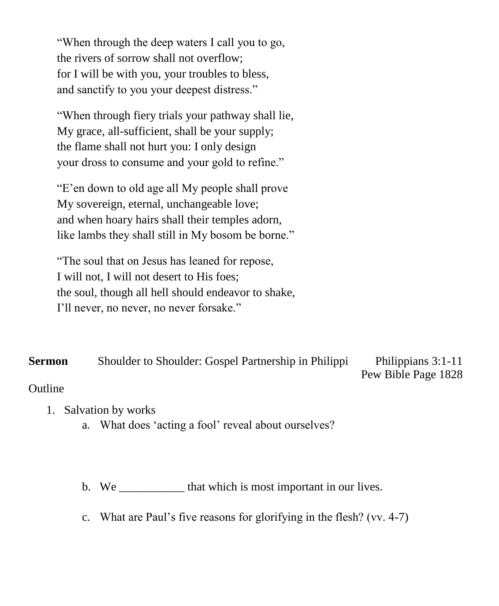"When through the deep waters I call you to go, the rivers of sorrow shall not overflow; for I will be with you, your troubles to bless, and sanctify to you your deepest distress."

"When through fiery trials your pathway shall lie, My grace, all-sufficient, shall be your supply; the flame shall not hurt you: I only design your dross to consume and your gold to refine."

"E'en down to old age all My people shall prove My sovereign, eternal, unchangeable love; and when hoary hairs shall their temples adorn, like lambs they shall still in My bosom be borne."

"The soul that on Jesus has leaned for repose, I will not, I will not desert to His foes; the soul, though all hell should endeavor to shake, I'll never, no never, no never forsake."

**Sermon** Shoulder to Shoulder: Gospel Partnership in Philippi Philippians 3:1-11

Pew Bible Page 1828

## **Outline**

- 1. Salvation by works
	- a. What does 'acting a fool' reveal about ourselves?

b. We \_\_\_\_\_\_\_\_\_\_\_\_\_ that which is most important in our lives.

c. What are Paul's five reasons for glorifying in the flesh? (vv. 4-7)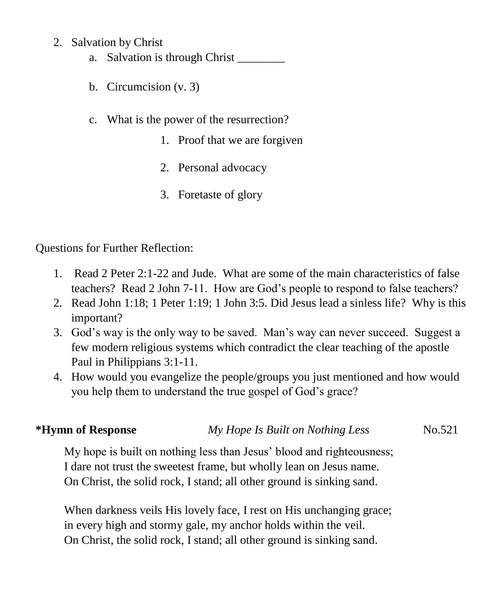### 2. Salvation by Christ

- a. Salvation is through Christ
- b. Circumcision (v. 3)
- c. What is the power of the resurrection?
	- 1. Proof that we are forgiven
	- 2. Personal advocacy
	- 3. Foretaste of glory

Questions for Further Reflection:

- 1. Read 2 Peter 2:1-22 and Jude. What are some of the main characteristics of false teachers? Read 2 John 7-11. How are God's people to respond to false teachers?
- 2. Read John 1:18; 1 Peter 1:19; 1 John 3:5. Did Jesus lead a sinless life? Why is this important?
- 3. God's way is the only way to be saved. Man's way can never succeed. Suggest a few modern religious systems which contradict the clear teaching of the apostle Paul in Philippians 3:1-11.
- 4. How would you evangelize the people/groups you just mentioned and how would you help them to understand the true gospel of God's grace?

# **\*Hymn of Response** *My Hope Is Built on Nothing Less* No.521

My hope is built on nothing less than Jesus' blood and righteousness; I dare not trust the sweetest frame, but wholly lean on Jesus name. On Christ, the solid rock, I stand; all other ground is sinking sand.

When darkness veils His lovely face, I rest on His unchanging grace; in every high and stormy gale, my anchor holds within the veil. On Christ, the solid rock, I stand; all other ground is sinking sand.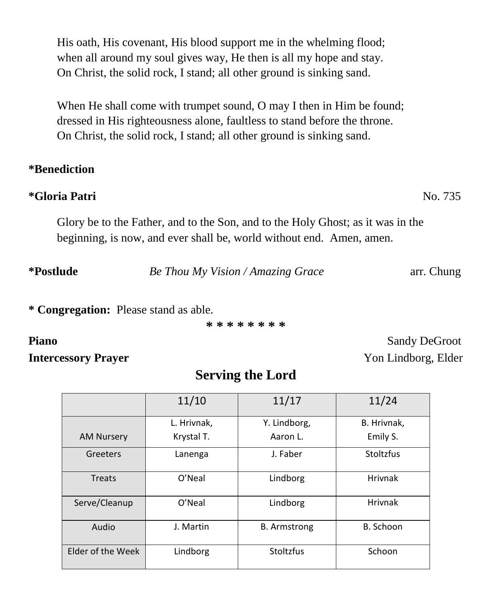His oath, His covenant, His blood support me in the whelming flood; when all around my soul gives way, He then is all my hope and stay. On Christ, the solid rock, I stand; all other ground is sinking sand.

When He shall come with trumpet sound, O may I then in Him be found; dressed in His righteousness alone, faultless to stand before the throne. On Christ, the solid rock, I stand; all other ground is sinking sand.

#### **\*Benediction**

## **\*Gloria Patri** No. 735

Glory be to the Father, and to the Son, and to the Holy Ghost; as it was in the beginning, is now, and ever shall be, world without end. Amen, amen.

**\*Postlude** *Be Thou My Vision / Amazing Grace* arr. Chung

**\* Congregation:** Please stand as able.

**\* \* \* \* \* \* \* \***

**Intercessory Prayer** Yon Lindborg, Elder

# **Serving the Lord**

|                   | 11/10       | 11/17               | 11/24          |
|-------------------|-------------|---------------------|----------------|
|                   | L. Hrivnak, | Y. Lindborg,        | B. Hrivnak,    |
| <b>AM Nursery</b> | Krystal T.  | Aaron L.            | Emily S.       |
| Greeters          | Lanenga     | J. Faber            | Stoltzfus      |
| Treats            | O'Neal      | Lindborg            | <b>Hrivnak</b> |
| Serve/Cleanup     | O'Neal      | Lindborg            | <b>Hrivnak</b> |
| Audio             | J. Martin   | <b>B.</b> Armstrong | B. Schoon      |
| Elder of the Week | Lindborg    | <b>Stoltzfus</b>    | Schoon         |

Piano **Sandy DeGroot**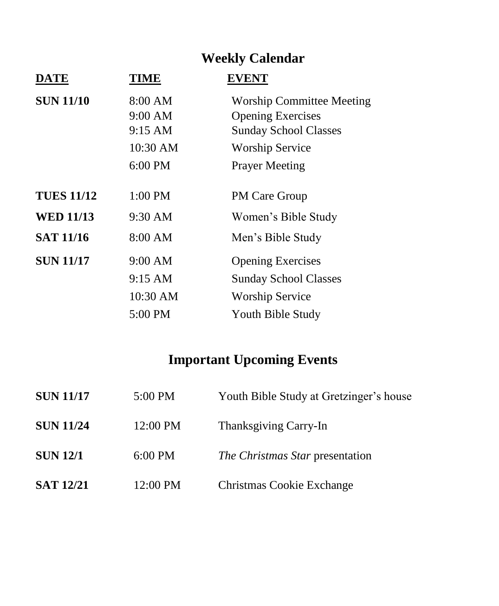# **Weekly Calendar**

| <b>DATE</b>       | <b>TIME</b>       | <b>EVENT</b>                     |
|-------------------|-------------------|----------------------------------|
| <b>SUN 11/10</b>  | 8:00 AM           | <b>Worship Committee Meeting</b> |
|                   | 9:00 AM           | <b>Opening Exercises</b>         |
|                   | 9:15 AM           | <b>Sunday School Classes</b>     |
|                   | 10:30 AM          | <b>Worship Service</b>           |
|                   | $6:00$ PM         | <b>Prayer Meeting</b>            |
| <b>TUES 11/12</b> | 1:00 PM           | <b>PM Care Group</b>             |
| <b>WED 11/13</b>  | $9:30 \text{ AM}$ | Women's Bible Study              |
| <b>SAT 11/16</b>  | 8:00 AM           | Men's Bible Study                |
| <b>SUN 11/17</b>  | 9:00 AM           | <b>Opening Exercises</b>         |
|                   | 9:15 AM           | <b>Sunday School Classes</b>     |
|                   | 10:30 AM          | <b>Worship Service</b>           |
|                   | 5:00 PM           | Youth Bible Study                |
|                   |                   |                                  |

# **Important Upcoming Events**

| <b>SUN 11/17</b> | 5:00 PM   | Youth Bible Study at Gretzinger's house |
|------------------|-----------|-----------------------------------------|
| <b>SUN 11/24</b> | 12:00 PM  | Thanksgiving Carry-In                   |
| <b>SUN 12/1</b>  | $6:00$ PM | <i>The Christmas Star presentation</i>  |
| <b>SAT 12/21</b> | 12:00 PM  | Christmas Cookie Exchange               |